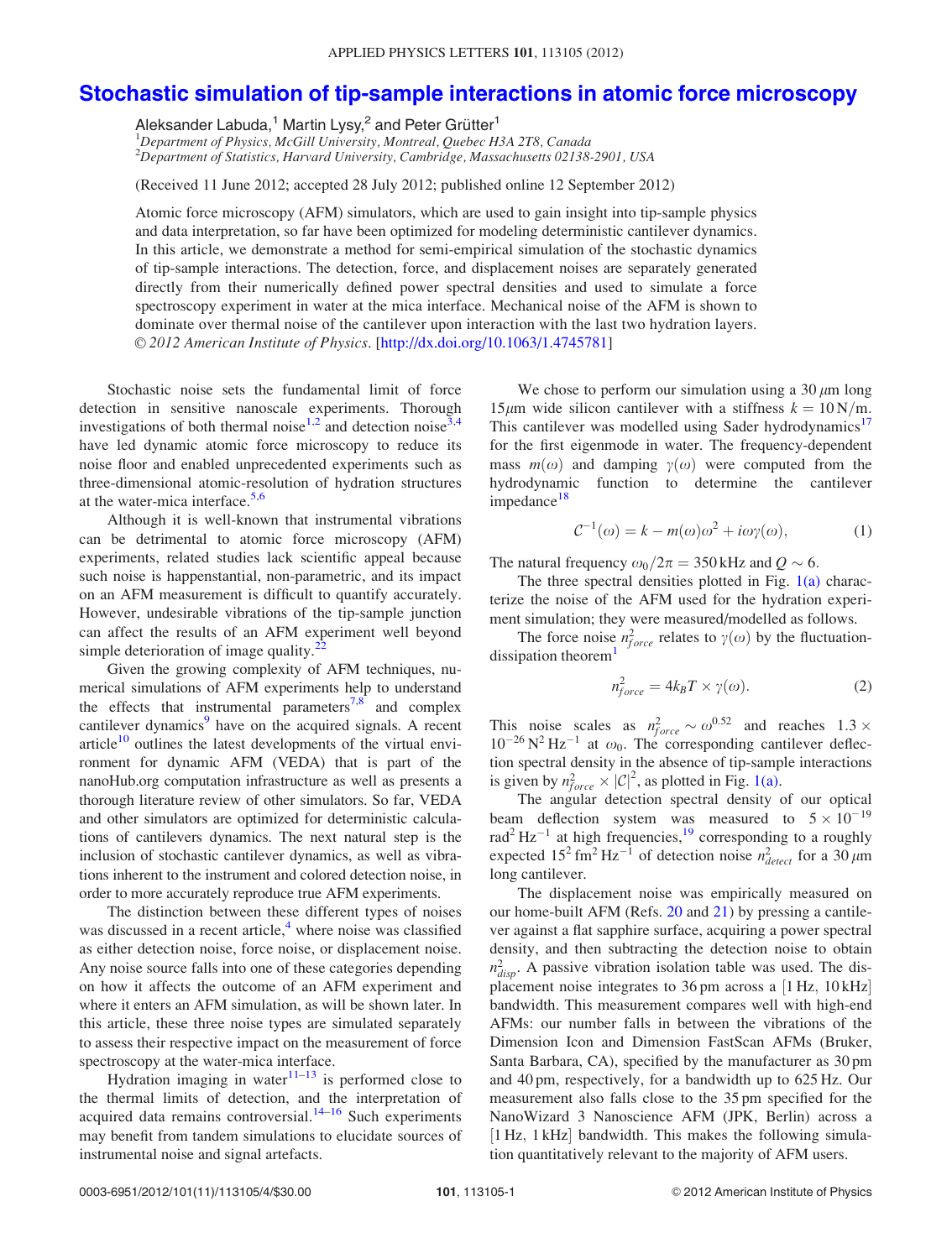## <span id="page-0-0"></span>[Stochastic simulation of tip-sample interactions in atomic force microscopy](http://dx.doi.org/10.1063/1.4745781)

Aleksander Labuda,<sup>1</sup> Martin Lysy,<sup>2</sup> and Peter Grütter<sup>1</sup>

<sup>1</sup>Department of Physics, McGill University, Montreal, Quebec H3A 2T8, Canada 2 Department of Statistics, Harvard University, Cambridge, Massachusetts 02138-2901, USA

(Received 11 June 2012; accepted 28 July 2012; published online 12 September 2012)

Atomic force microscopy (AFM) simulators, which are used to gain insight into tip-sample physics and data interpretation, so far have been optimized for modeling deterministic cantilever dynamics. In this article, we demonstrate a method for semi-empirical simulation of the stochastic dynamics of tip-sample interactions. The detection, force, and displacement noises are separately generated directly from their numerically defined power spectral densities and used to simulate a force spectroscopy experiment in water at the mica interface. Mechanical noise of the AFM is shown to dominate over thermal noise of the cantilever upon interaction with the last two hydration layers. V<sup>C</sup> 2012 American Institute of Physics. [[http://dx.doi.org/10.1063/1.4745781\]](http://dx.doi.org/10.1063/1.4745781)

Stochastic noise sets the fundamental limit of force detection in sensitive nanoscale experiments. Thorough investigations of both thermal noise<sup>[1,2](#page-2-0)</sup> and detection noise<sup>[3,4](#page-2-0)</sup> have led dynamic atomic force microscopy to reduce its noise floor and enabled unprecedented experiments such as three-dimensional atomic-resolution of hydration structures at the water-mica interface. $5,6$ 

Although it is well-known that instrumental vibrations can be detrimental to atomic force microscopy (AFM) experiments, related studies lack scientific appeal because such noise is happenstantial, non-parametric, and its impact on an AFM measurement is difficult to quantify accurately. However, undesirable vibrations of the tip-sample junction can affect the results of an AFM experiment well beyond simple deterioration of image quality. $\frac{2}{x}$ 

Given the growing complexity of AFM techniques, numerical simulations of AFM experiments help to understand the effects that instrumental parameters<sup>7,8</sup> and complex cantilever dynamics<sup>9</sup> have on the acquired signals. A recent article $10$  outlines the latest developments of the virtual environment for dynamic AFM (VEDA) that is part of the nanoHub.org computation infrastructure as well as presents a thorough literature review of other simulators. So far, VEDA and other simulators are optimized for deterministic calculations of cantilevers dynamics. The next natural step is the inclusion of stochastic cantilever dynamics, as well as vibrations inherent to the instrument and colored detection noise, in order to more accurately reproduce true AFM experiments.

The distinction between these different types of noises was discussed in a recent article, $4\overline{ }$  $4\overline{ }$  where noise was classified as either detection noise, force noise, or displacement noise. Any noise source falls into one of these categories depending on how it affects the outcome of an AFM experiment and where it enters an AFM simulation, as will be shown later. In this article, these three noise types are simulated separately to assess their respective impact on the measurement of force spectroscopy at the water-mica interface.

Hydration imaging in water $11-13$  is performed close to the thermal limits of detection, and the interpretation of acquired data remains controversial.<sup>[14–16](#page-2-0)</sup> Such experiments may benefit from tandem simulations to elucidate sources of instrumental noise and signal artefacts.

We chose to perform our simulation using a 30  $\mu$ m long 15 $\mu$ m wide silicon cantilever with a stiffness  $k = 10 \text{ N/m}$ . This cantilever was modelled using Sader hydrodynamics<sup>[17](#page-2-0)</sup> for the first eigenmode in water. The frequency-dependent mass  $m(\omega)$  and damping  $\gamma(\omega)$  were computed from the hydrodynamic function to determine the cantilever impedance<sup>[18](#page-2-0)</sup>

$$
C^{-1}(\omega) = k - m(\omega)\omega^2 + i\omega\gamma(\omega),
$$
 (1)

The natural frequency  $\omega_0/2\pi = 350$  kHz and  $Q \sim 6$ .

The three spectral densities plotted in Fig. [1\(a\)](#page-1-0) characterize the noise of the AFM used for the hydration experiment simulation; they were measured/modelled as follows.

The force noise  $n_{force}^2$  relates to  $\gamma(\omega)$  by the fluctuationdissipation theorem $<sup>1</sup>$  $<sup>1</sup>$  $<sup>1</sup>$ </sup>

$$
n_{force}^2 = 4k_B T \times \gamma(\omega). \tag{2}
$$

This noise scales as  $n_{force}^2 \sim \omega^{0.52}$  and reaches  $1.3 \times$  $10^{-26}$  N<sup>2</sup> Hz<sup>-1</sup> at  $\omega_0$ . The corresponding cantilever deflection spectral density in the absence of tip-sample interactions is given by  $n_{force}^2 \times |C|^2$ , as plotted in Fig. [1\(a\).](#page-1-0)

The angular detection spectral density of our optical beam deflection system was measured to  $5 \times 10^{-19}$ rad<sup>2</sup> Hz<sup>-1</sup> at high frequencies,<sup>[19](#page-2-0)</sup> corresponding to a roughly expected  $15^2$  fm<sup>2</sup> Hz<sup>-1</sup> of detection noise  $n_{detect}^2$  for a 30  $\mu$ m long cantilever.

The displacement noise was empirically measured on our home-built AFM (Refs. [20](#page-3-0) and [21\)](#page-3-0) by pressing a cantilever against a flat sapphire surface, acquiring a power spectral density, and then subtracting the detection noise to obtain  $n_{disp}^2$ . A passive vibration isolation table was used. The displacement noise integrates to  $36 \text{ pm}$  across a  $[1 \text{ Hz}, 10 \text{ kHz}]$ bandwidth. This measurement compares well with high-end AFMs: our number falls in between the vibrations of the Dimension Icon and Dimension FastScan AFMs (Bruker, Santa Barbara, CA), specified by the manufacturer as 30 pm and 40 pm, respectively, for a bandwidth up to 625 Hz. Our measurement also falls close to the 35 pm specified for the NanoWizard 3 Nanoscience AFM (JPK, Berlin) across a [1 Hz, 1 kHz] bandwidth. This makes the following simulation quantitatively relevant to the majority of AFM users.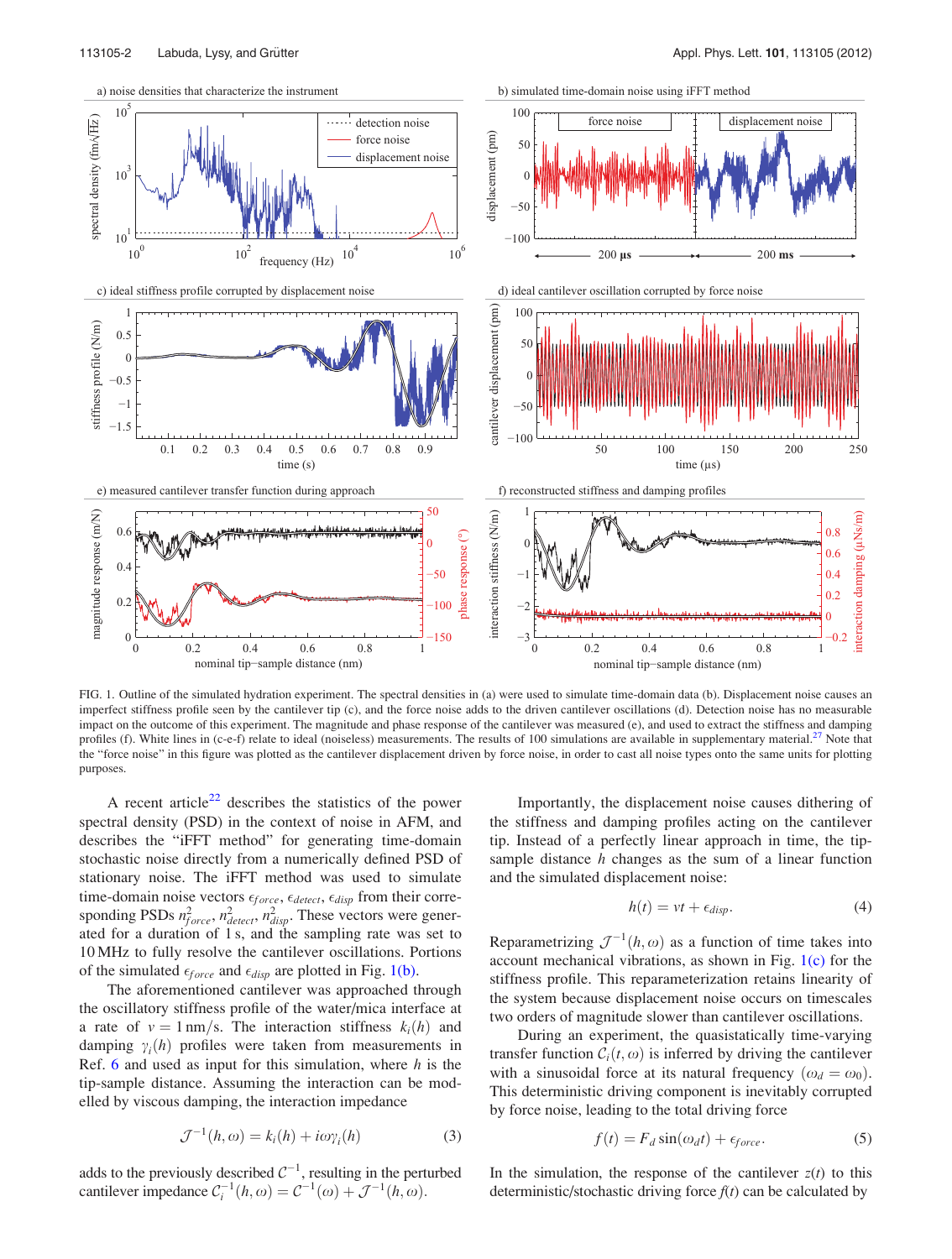<span id="page-1-0"></span>

FIG. 1. Outline of the simulated hydration experiment. The spectral densities in (a) were used to simulate time-domain data (b). Displacement noise causes an imperfect stiffness profile seen by the cantilever tip (c), and the force noise adds to the driven cantilever oscillations (d). Detection noise has no measurable impact on the outcome of this experiment. The magnitude and phase response of the cantilever was measured (e), and used to extract the stiffness and damping profiles (f). White lines in (c-e-f) relate to ideal (noiseless) measurements. The results of 100 simulations are available in supplementary material.<sup>[27](#page-3-0)</sup> Note that the "force noise" in this figure was plotted as the cantilever displacement driven by force noise, in order to cast all noise types onto the same units for plotting purposes.

A recent article<sup>[22](#page-3-0)</sup> describes the statistics of the power spectral density (PSD) in the context of noise in AFM, and describes the "iFFT method" for generating time-domain stochastic noise directly from a numerically defined PSD of stationary noise. The iFFT method was used to simulate time-domain noise vectors  $\epsilon_{force}$ ,  $\epsilon_{detect}$ ,  $\epsilon_{disp}$  from their corresponding PSDs  $n_{force}^2$ ,  $n_{detect}^2$ ,  $n_{disp}^2$ . These vectors were generated for a duration of 1 s, and the sampling rate was set to 10 MHz to fully resolve the cantilever oscillations. Portions of the simulated  $\epsilon_{force}$  and  $\epsilon_{disp}$  are plotted in Fig. 1(b).

The aforementioned cantilever was approached through the oscillatory stiffness profile of the water/mica interface at a rate of  $v = 1$  nm/s. The interaction stiffness  $k_i(h)$  and damping  $\gamma_i(h)$  profiles were taken from measurements in Ref. [6](#page-2-0) and used as input for this simulation, where  $h$  is the tip-sample distance. Assuming the interaction can be modelled by viscous damping, the interaction impedance

$$
\mathcal{J}^{-1}(h,\omega) = k_i(h) + i\omega \gamma_i(h) \tag{3}
$$

adds to the previously described  $C^{-1}$ , resulting in the perturbed cantilever impedance  $C_i^{-1}(h, \omega) = C^{-1}(\omega) + \mathcal{J}^{-1}(h, \omega)$ .

Importantly, the displacement noise causes dithering of the stiffness and damping profiles acting on the cantilever tip. Instead of a perfectly linear approach in time, the tipsample distance  $h$  changes as the sum of a linear function and the simulated displacement noise:

$$
h(t) = vt + \epsilon_{disp}.
$$
 (4)

Reparametrizing  $\mathcal{J}^{-1}(h,\omega)$  as a function of time takes into account mechanical vibrations, as shown in Fig. 1(c) for the stiffness profile. This reparameterization retains linearity of the system because displacement noise occurs on timescales two orders of magnitude slower than cantilever oscillations.

During an experiment, the quasistatically time-varying transfer function  $C_i(t, \omega)$  is inferred by driving the cantilever with a sinusoidal force at its natural frequency  $(\omega_d = \omega_0)$ . This deterministic driving component is inevitably corrupted by force noise, leading to the total driving force

$$
f(t) = F_d \sin(\omega_d t) + \epsilon_{force}.
$$
 (5)

In the simulation, the response of the cantilever  $z(t)$  to this deterministic/stochastic driving force  $f(t)$  can be calculated by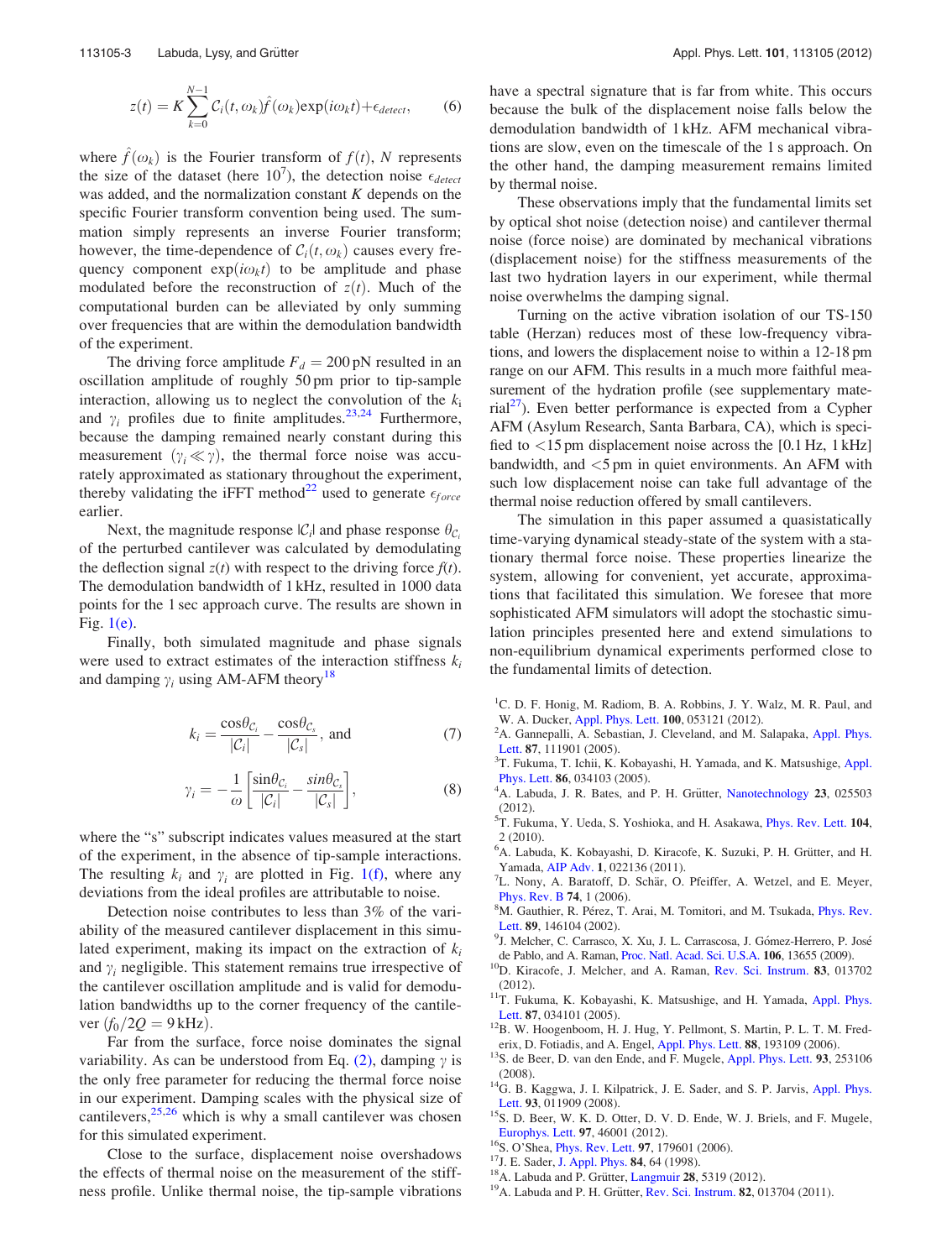<span id="page-2-0"></span>
$$
z(t) = K \sum_{k=0}^{N-1} C_i(t, \omega_k) \hat{f}(\omega_k) \exp(i\omega_k t) + \epsilon_{detect}, \qquad (6)
$$

where  $\hat{f}(\omega_k)$  is the Fourier transform of  $f(t)$ , N represents the size of the dataset (here  $10^7$ ), the detection noise  $\epsilon_{detect}$ was added, and the normalization constant  $K$  depends on the specific Fourier transform convention being used. The summation simply represents an inverse Fourier transform; however, the time-dependence of  $C_i(t, \omega_k)$  causes every frequency component  $exp(i\omega_k t)$  to be amplitude and phase modulated before the reconstruction of  $z(t)$ . Much of the computational burden can be alleviated by only summing over frequencies that are within the demodulation bandwidth of the experiment.

The driving force amplitude  $F_d = 200 \text{ pN}$  resulted in an oscillation amplitude of roughly 50 pm prior to tip-sample interaction, allowing us to neglect the convolution of the  $k_i$ and  $\gamma_i$  profiles due to finite amplitudes.<sup>23,24</sup> Furthermore, because the damping remained nearly constant during this measurement  $(\gamma_i \ll \gamma)$ , the thermal force noise was accurately approximated as stationary throughout the experiment, thereby validating the iFFT method<sup>[22](#page-3-0)</sup> used to generate  $\epsilon_{force}$ earlier.

Next, the magnitude response  $|\mathcal{C}_i|$  and phase response  $\theta_{\mathcal{C}_i}$ of the perturbed cantilever was calculated by demodulating the deflection signal  $z(t)$  with respect to the driving force  $f(t)$ . The demodulation bandwidth of 1 kHz, resulted in 1000 data points for the 1 sec approach curve. The results are shown in Fig.  $1(e)$ .

Finally, both simulated magnitude and phase signals were used to extract estimates of the interaction stiffness  $k_i$ and damping  $\gamma_i$  using AM-AFM theory<sup>18</sup>

$$
k_i = \frac{\cos \theta_{\mathcal{C}_i}}{|\mathcal{C}_i|} - \frac{\cos \theta_{\mathcal{C}_s}}{|\mathcal{C}_s|}, \text{ and}
$$
 (7)

$$
\gamma_i = -\frac{1}{\omega} \left[ \frac{\sin \theta_{\mathcal{C}_i}}{|\mathcal{C}_i|} - \frac{\sin \theta_{\mathcal{C}_s}}{|\mathcal{C}_s|} \right],\tag{8}
$$

where the "s" subscript indicates values measured at the start of the experiment, in the absence of tip-sample interactions. The resulting  $k_i$  and  $\gamma_i$  are plotted in Fig. [1\(f\),](#page-1-0) where any deviations from the ideal profiles are attributable to noise.

Detection noise contributes to less than 3% of the variability of the measured cantilever displacement in this simulated experiment, making its impact on the extraction of  $k_i$ and  $\gamma_i$  negligible. This statement remains true irrespective of the cantilever oscillation amplitude and is valid for demodulation bandwidths up to the corner frequency of the cantilever  $(f_0/2O = 9$  kHz).

Far from the surface, force noise dominates the signal variability. As can be understood from Eq.  $(2)$ , damping  $\gamma$  is the only free parameter for reducing the thermal force noise in our experiment. Damping scales with the physical size of cantilevers,  $25,26$  which is why a small cantilever was chosen for this simulated experiment.

Close to the surface, displacement noise overshadows the effects of thermal noise on the measurement of the stiffness profile. Unlike thermal noise, the tip-sample vibrations have a spectral signature that is far from white. This occurs because the bulk of the displacement noise falls below the demodulation bandwidth of 1 kHz. AFM mechanical vibrations are slow, even on the timescale of the 1 s approach. On the other hand, the damping measurement remains limited by thermal noise.

These observations imply that the fundamental limits set by optical shot noise (detection noise) and cantilever thermal noise (force noise) are dominated by mechanical vibrations (displacement noise) for the stiffness measurements of the last two hydration layers in our experiment, while thermal noise overwhelms the damping signal.

Turning on the active vibration isolation of our TS-150 table (Herzan) reduces most of these low-frequency vibrations, and lowers the displacement noise to within a 12-18 pm range on our AFM. This results in a much more faithful measurement of the hydration profile (see supplementary mate- $\text{rial}^{2}$ ). Even better performance is expected from a Cypher AFM (Asylum Research, Santa Barbara, CA), which is specified to  $\langle 15 \text{ pm}$  displacement noise across the [0.1 Hz, 1 kHz] bandwidth, and <5 pm in quiet environments. An AFM with such low displacement noise can take full advantage of the thermal noise reduction offered by small cantilevers.

The simulation in this paper assumed a quasistatically time-varying dynamical steady-state of the system with a stationary thermal force noise. These properties linearize the system, allowing for convenient, yet accurate, approximations that facilitated this simulation. We foresee that more sophisticated AFM simulators will adopt the stochastic simulation principles presented here and extend simulations to non-equilibrium dynamical experiments performed close to the fundamental limits of detection.

- <sup>1</sup>C. D. F. Honig, M. Radiom, B. A. Robbins, J. Y. Walz, M. R. Paul, and W. A. Ducker, [Appl. Phys. Lett.](http://dx.doi.org/10.1063/1.3681141) 100, 053121 (2012).
- <sup>2</sup>A. Gannepalli, A. Sebastian, J. Cleveland, and M. Salapaka, [Appl. Phys.](http://dx.doi.org/10.1063/1.2037197) [Lett.](http://dx.doi.org/10.1063/1.2037197) 87, 111901 (2005).
- <sup>3</sup>T. Fukuma, T. Ichii, K. Kobayashi, H. Yamada, and K. Matsushige, [Appl.](http://dx.doi.org/10.1063/1.1852721) [Phys. Lett.](http://dx.doi.org/10.1063/1.1852721) 86, 034103 (2005).
- <sup>4</sup>A. Labuda, J. R. Bates, and P. H. Grütter, [Nanotechnology](http://dx.doi.org/10.1088/0957-4484/23/2/025503) 23, 025503 (2012).
- <sup>5</sup>T. Fukuma, Y. Ueda, S. Yoshioka, and H. Asakawa, *[Phys. Rev. Lett.](http://dx.doi.org/10.1103/PhysRevLett.104.016101)* 104, 2 (2010).
- <sup>6</sup>A. Labuda, K. Kobayashi, D. Kiracofe, K. Suzuki, P. H. Grütter, and H. Yamada, [AIP Adv.](http://dx.doi.org/10.1063/1.3601872) 1, 022136 (2011).
- $U^7$ L. Nony, A. Baratoff, D. Schär, O. Pfeiffer, A. Wetzel, and E. Meyer, [Phys. Rev. B](http://dx.doi.org/10.1103/PhysRevB.74.235439) 74, 1 (2006).
- M. Gauthier, R. Pérez, T. Arai, M. Tomitori, and M. Tsukada, *[Phys. Rev.](http://dx.doi.org/10.1103/PhysRevLett.89.146104)* [Lett.](http://dx.doi.org/10.1103/PhysRevLett.89.146104) 89, 146104 (2002).
- J. Melcher, C. Carrasco, X. Xu, J. L. Carrascosa, J. Gómez-Herrero, P. José
- de Pablo, and A. Raman, [Proc. Natl. Acad. Sci. U.S.A.](http://dx.doi.org/10.1073/pnas.0902240106) **106**, 13655 (2009). <sup>10</sup>D. Kiracofe, J. Melcher, and A. Raman, [Rev. Sci. Instrum.](http://dx.doi.org/10.1063/1.3669638) **83**, 013702
- (2012).  $11T$ . Fukuma, K. Kobayashi, K. Matsushige, and H. Yamada, [Appl. Phys.](http://dx.doi.org/10.1063/1.1999856) Lett. **87**, 034101 (2005).
- $12B$ . W. Hoogenboom, H. J. Hug, Y. Pellmont, S. Martin, P. L. T. M. Fred-
- erix, D. Fotiadis, and A. Engel, [Appl. Phys. Lett.](http://dx.doi.org/10.1063/1.3050532) 88, 193109 (2006). <sup>13</sup>S. de Beer, D. van den Ende, and F. Mugele, Appl. Phys. Lett. 93, 253106
- (2008).  $14$ G. B. Kaggwa, J. I. Kilpatrick, J. E. Sader, and S. P. Jarvis, [Appl. Phys.](http://dx.doi.org/10.1063/1.2950324)
- [Lett.](http://dx.doi.org/10.1063/1.2950324) 93, 011909 (2008).<br><sup>15</sup>S. D. Beer, W. K. D. Otter, D. V. D. Ende, W. J. Briels, and F. Mugele, [Europhys. Lett.](http://dx.doi.org/10.1209/0295-5075/97/46001) 97, 46001 (2012).<br><sup>16</sup>S. O'Shea, [Phys. Rev. Lett.](http://dx.doi.org/10.1103/PhysRevLett.97.179601) 97, 179601 (2006).<br><sup>17</sup>J. E. Sader, [J. Appl. Phys.](http://dx.doi.org/10.1063/1.368002) 84, 64 (1998).<br><sup>18</sup>A. Labuda and P. Grütter, [Langmuir](http://dx.doi.org/10.1021/la300557u) **28**, 5319 (2012).<br><sup>19</sup>A. Labuda and P. H. Grütter,
- 
- 
- 
-